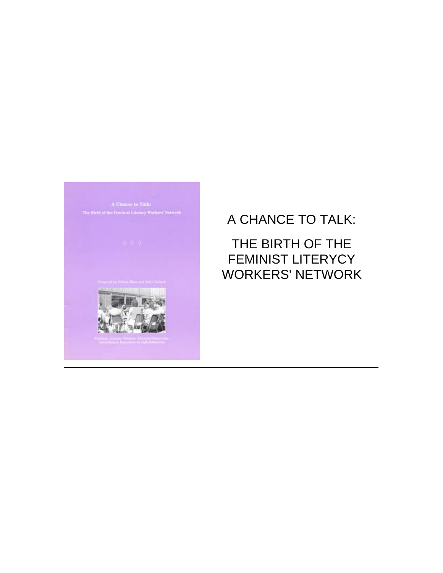

# A CHANCE TO TALK: THE BIRTH OF THE FEMINIST LITERYCY WORKERS' NETWORK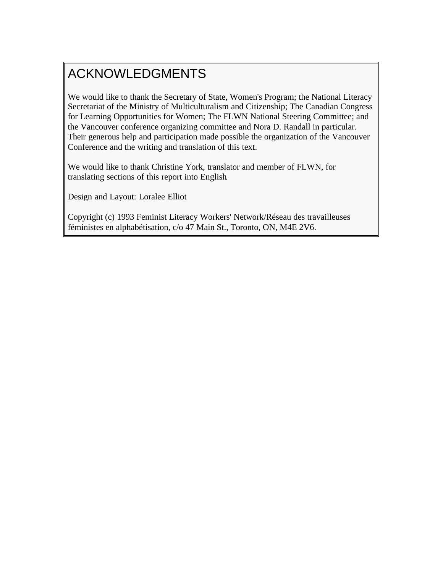# <span id="page-1-0"></span>ACKNOWLEDGMENTS

We would like to thank the Secretary of State, Women's Program; the National Literacy Secretariat of the Ministry of Multiculturalism and Citizenship; The Canadian Congress for Learning Opportunities for Women; The FLWN National Steering Committee; and the Vancouver conference organizing committee and Nora D. Randall in particular. Their generous help and participation made possible the organization of the Vancouver Conference and the writing and translation of this text.

We would like to thank Christine York, translator and member of FLWN, for translating sections of this report into English.

Design and Layout: Loralee Elliot

Copyright (c) 1993 Feminist Literacy Workers' Network/Réseau des travailleuses féministes en alphabétisation, c/o 47 Main St., Toronto, ON, M4E 2V6.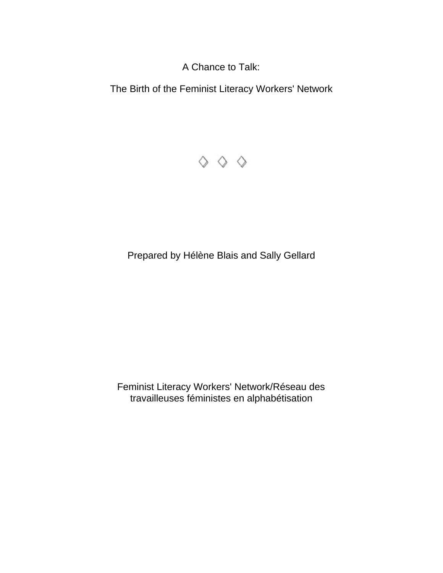A Chance to Talk:

The Birth of the Feminist Literacy Workers' Network



Prepared by Hélène Blais and Sally Gellard

Feminist Literacy Workers' Network/Réseau des travailleuses féministes en alphabétisation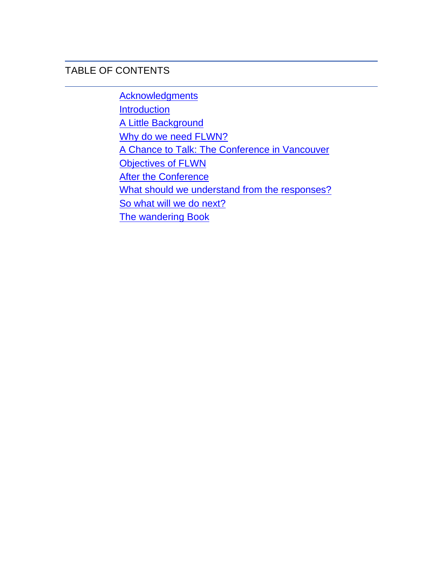### TABLE OF CONTENTS

**[Acknowledgments](#page-1-0) [Introduction](#page-4-0)** [A Little Background](#page-5-0) Why do we need FLWN? [A Chance to Talk: The Conference in Vancouver](#page-6-0) [Objectives of FLWN](#page-8-0) **[After the Conference](#page-10-0)** [What should we understand from the responses?](#page-18-0) [So what will we do next?](#page-18-1)  [The wandering Book](#page-19-0)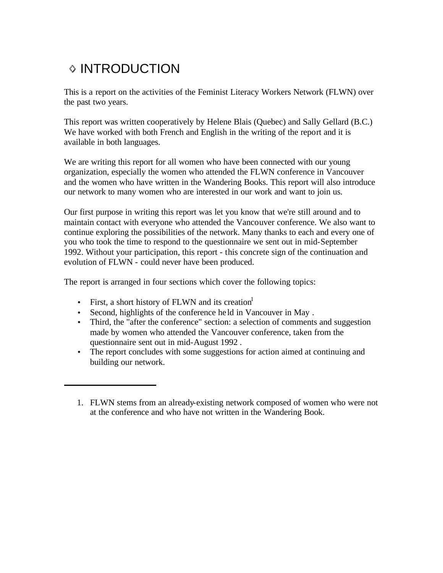# <span id="page-4-0"></span>**◇ INTRODUCTION**

This is a report on the activities of the Feminist Literacy Workers Network (FLWN) over the past two years.

This report was written cooperatively by Helene Blais (Quebec) and Sally Gellard (B.C.) We have worked with both French and English in the writing of the report and it is available in both languages.

We are writing this report for all women who have been connected with our young organization, especially the women who attended the FLWN conference in Vancouver and the women who have written in the Wandering Books. This report will also introduce our network to many women who are interested in our work and want to join us.

Our first purpose in writing this report was let you know that we're still around and to maintain contact with everyone who attended the Vancouver conference. We also want to continue exploring the possibilities of the network. Many thanks to each and every one of you who took the time to respond to the questionnaire we sent out in mid-September 1992. Without your participation, this report - this concrete sign of the continuation and evolution of FLWN - could never have been produced.

The report is arranged in four sections which cover the following topics:

- First, a short history of FLWN and its creation
- Second, highlights of the conference he ld in Vancouver in May .
- Third, the "after the conference" section: a selection of comments and suggestion made by women who attended the Vancouver conference, taken from the questionnaire sent out in mid-August 1992 .
- The report concludes with some suggestions for action aimed at continuing and building our network.

<sup>1.</sup> FLWN stems from an already-existing network composed of women who were not at the conference and who have not written in the Wandering Book.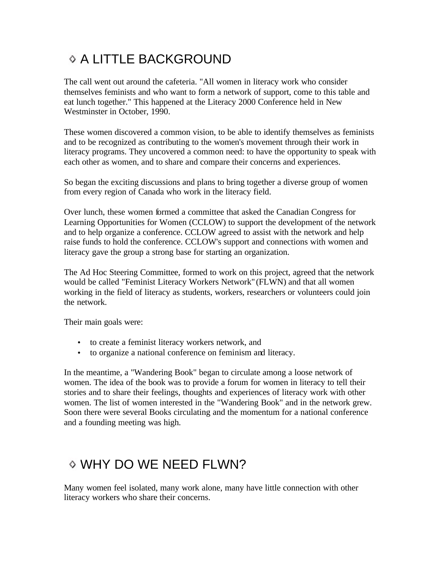# <span id="page-5-0"></span>**O A LITTLE BACKGROUND**

The call went out around the cafeteria. "All women in literacy work who consider themselves feminists and who want to form a network of support, come to this table and eat lunch together." This happened at the Literacy 2000 Conference held in New Westminster in October, 1990.

<span id="page-5-1"></span>These women discovered a common vision, to be able to identify themselves as feminists and to be recognized as contributing to the women's movement through their work in literacy programs. They uncovered a common need: to have the opportunity to speak with each other as women, and to share and compare their concerns and experiences.

So began the exciting discussions and plans to bring together a diverse group of women from every region of Canada who work in the literacy field.

Over lunch, these women formed a committee that asked the Canadian Congress for Learning Opportunities for Women (CCLOW) to support the development of the network and to help organize a conference. CCLOW agreed to assist with the network and help raise funds to hold the conference. CCLOW's support and connections with women and literacy gave the group a strong base for starting an organization.

The Ad Hoc Steering Committee, formed to work on this project, agreed that the network would be called "Feminist Literacy Workers Network" (FLWN) and that all women working in the field of literacy as students, workers, researchers or volunteers could join the network.

Their main goals were:

- to create a feminist literacy workers network, and
- to organize a national conference on feminism and literacy.

In the meantime, a "Wandering Book" began to circulate among a loose network of women. The idea of the book was to provide a forum for women in literacy to tell their stories and to share their feelings, thoughts and experiences of literacy work with other women. The list of women interested in the "Wandering Book" and in the network grew. Soon there were several Books circulating and the momentum for a national conference and a founding meeting was high.

# WHY DO WE NEED FLWN?

Many women feel isolated, many work alone, many have little connection with other literacy workers who share their concerns.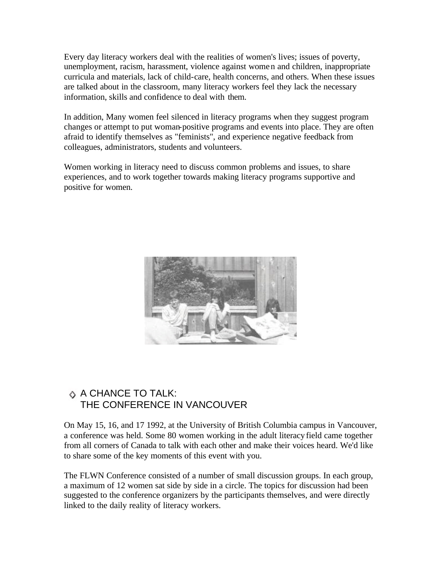Every day literacy workers deal with the realities of women's lives; issues of poverty, unemployment, racism, harassment, violence against women and children, inappropriate curricula and materials, lack of child-care, health concerns, and others. When these issues are talked about in the classroom, many literacy workers feel they lack the necessary information, skills and confidence to deal with them.

<span id="page-6-0"></span>In addition, Many women feel silenced in literacy programs when they suggest program changes or attempt to put woman-positive programs and events into place. They are often afraid to identify themselves as "feminists", and experience negative feedback from colleagues, administrators, students and volunteers.

Women working in literacy need to discuss common problems and issues, to share experiences, and to work together towards making literacy programs supportive and positive for women.



#### $\Diamond$  A CHANCE TO TALK: THE CONFERENCE IN VANCOUVER

On May 15, 16, and 17 1992, at the University of British Columbia campus in Vancouver, a conference was held. Some 80 women working in the adult literacy field came together from all corners of Canada to talk with each other and make their voices heard. We'd like to share some of the key moments of this event with you.

The FLWN Conference consisted of a number of small discussion groups. In each group, a maximum of 12 women sat side by side in a circle. The topics for discussion had been suggested to the conference organizers by the participants themselves, and were directly linked to the daily reality of literacy workers.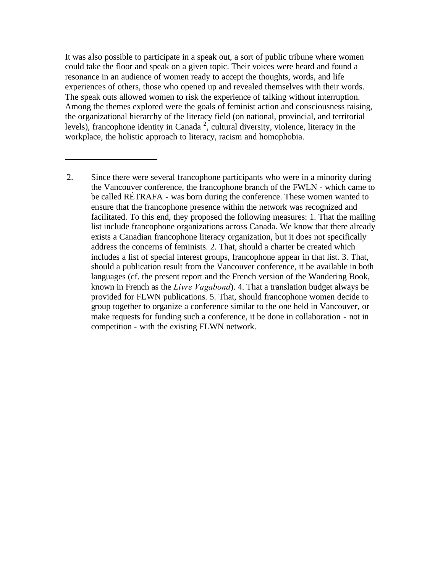It was also possible to participate in a speak out, a sort of public tribune where women could take the floor and speak on a given topic. Their voices were heard and found a resonance in an audience of women ready to accept the thoughts, words, and life experiences of others, those who opened up and revealed themselves with their words. The speak outs allowed women to risk the experience of talking without interruption. Among the themes explored were the goals of feminist action and consciousness raising, the organizational hierarchy of the literacy field (on national, provincial, and territorial levels), francophone identity in Canada<sup>2</sup>, cultural diversity, violence, literacy in the workplace, the holistic approach to literacy, racism and homophobia.

<sup>2.</sup> Since there were several francophone participants who were in a minority during the Vancouver conference, the francophone branch of the FWLN - which came to be called RÉTRAFA - was born during the conference. These women wanted to ensure that the francophone presence within the network was recognized and facilitated. To this end, they proposed the following measures: 1. That the mailing list include francophone organizations across Canada. We know that there already exists a Canadian francophone literacy organization, but it does not specifically address the concerns of feminists. 2. That, should a charter be created which includes a list of special interest groups, francophone appear in that list. 3. That, should a publication result from the Vancouver conference, it be available in both languages (cf. the present report and the French version of the Wandering Book, known in French as the *Livre Vagabond*). 4. That a translation budget always be provided for FLWN publications. 5. That, should francophone women decide to group together to organize a conference similar to the one held in Vancouver, or make requests for funding such a conference, it be done in collaboration - not in competition - with the existing FLWN network.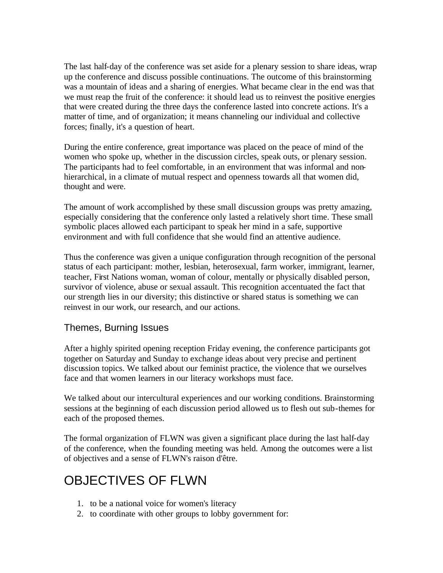The last half-day of the conference was set aside for a plenary session to share ideas, wrap up the conference and discuss possible continuations. The outcome of this brainstorming was a mountain of ideas and a sharing of energies. What became clear in the end was that we must reap the fruit of the conference: it should lead us to reinvest the positive energies that were created during the three days the conference lasted into concrete actions. It's a matter of time, and of organization; it means channeling our individual and collective forces; finally, it's a question of heart.

<span id="page-8-0"></span>During the entire conference, great importance was placed on the peace of mind of the women who spoke up, whether in the discussion circles, speak outs, or plenary session. The participants had to feel comfortable, in an environment that was informal and nonhierarchical, in a climate of mutual respect and openness towards all that women did, thought and were.

The amount of work accomplished by these small discussion groups was pretty amazing, especially considering that the conference only lasted a relatively short time. These small symbolic places allowed each participant to speak her mind in a safe, supportive environment and with full confidence that she would find an attentive audience.

Thus the conference was given a unique configuration through recognition of the personal status of each participant: mother, lesbian, heterosexual, farm worker, immigrant, learner, teacher, First Nations woman, woman of colour, mentally or physically disabled person, survivor of violence, abuse or sexual assault. This recognition accentuated the fact that our strength lies in our diversity; this distinctive or shared status is something we can reinvest in our work, our research, and our actions.

#### Themes, Burning Issues

After a highly spirited opening reception Friday evening, the conference participants got together on Saturday and Sunday to exchange ideas about very precise and pertinent discussion topics. We talked about our feminist practice, the violence that we ourselves face and that women learners in our literacy workshops must face.

We talked about our intercultural experiences and our working conditions. Brainstorming sessions at the beginning of each discussion period allowed us to flesh out sub-themes for each of the proposed themes.

The formal organization of FLWN was given a significant place during the last half-day of the conference, when the founding meeting was held. Among the outcomes were a list of objectives and a sense of FLWN's raison d'être.

## OBJECTIVES OF FLWN

- 1. to be a national voice for women's literacy
- 2. to coordinate with other groups to lobby government for: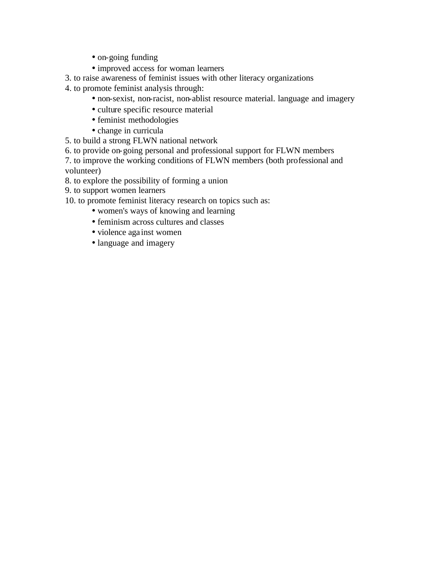- on-going funding
- improved access for woman learners
- 3. to raise awareness of feminist issues with other literacy organizations
- 4. to promote feminist analysis through:
	- non-sexist, non-racist, non-ablist resource material. language and imagery
	- culture specific resource material
	- feminist methodologies
	- change in curricula
- 5. to build a strong FLWN national network
- 6. to provide on-going personal and professional support for FLWN members
- 7. to improve the working conditions of FLWN members (both professional and volunteer)
- 8. to explore the possibility of forming a union
- 9. to support women learners

10. to promote feminist literacy research on topics such as:

- women's ways of knowing and learning
- feminism across cultures and classes
- violence against women
- language and imagery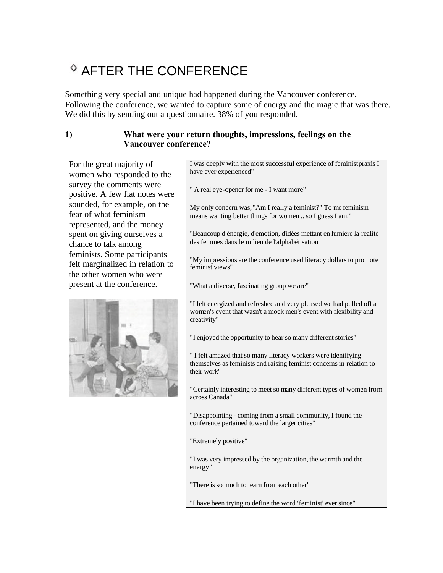# <span id="page-10-0"></span>**S AFTER THE CONFERENCE**

Something very special and unique had happened during the Vancouver conference. Following the conference, we wanted to capture some of energy and the magic that was there. We did this by sending out a questionnaire. 38% of you responded.

#### **1) What were your return thoughts, impressions, feelings on the Vancouver conference?**

For the great majority of women who responded to the survey the comments were positive. A few flat notes were sounded, for example, on the fear of what feminism represented, and the money spent on giving ourselves a chance to talk among feminists. Some participants felt marginalized in relation to the other women who were present at the conference.



I was deeply with the most successful experience of feminist praxis I have ever experienced"

" A real eye-opener for me - I want more"

My only concern was, "Am I really a feminist?" To me feminism means wanting better things for women .. so I guess I am."

"Beaucoup d'énergie, d'émotion, d'idées mettant en lumière la réalité des femmes dans le milieu de l'alphabétisation

"My impressions are the conference used literacy dollars to promote feminist views"

"What a diverse, fascinating group we are"

"I felt energized and refreshed and very pleased we had pulled off a women's event that wasn't a mock men's event with flexibility and creativity"

"I enjoyed the opportunity to hear so many different stories"

" I felt amazed that so many literacy workers were identifying themselves as feminists and raising feminist concerns in relation to their work"

"Certainly interesting to meet so many different types of women from across Canada"

"Disappointing - coming from a small community, I found the conference pertained toward the larger cities"

"Extremely positive"

"I was very impressed by the organization, the warmth and the energy"

"There is so much to learn from each other"

"I have been trying to define the word 'feminist' ever since"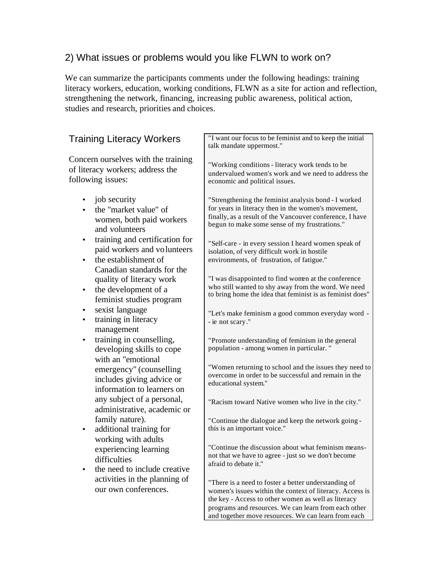### 2) What issues or problems would you like FLWN to work on?

We can summarize the participants comments under the following headings: training literacy workers, education, working conditions, FLWN as a site for action and reflection, strengthening the network, financing, increasing public awareness, political action, studies and research, priorities and choices.

| <b>Training Literacy Workers</b>                                                                                                              | "I want our focus to be feminist and to keep the initial<br>talk mandate uppermost."                                                                                                                                                                                                   |
|-----------------------------------------------------------------------------------------------------------------------------------------------|----------------------------------------------------------------------------------------------------------------------------------------------------------------------------------------------------------------------------------------------------------------------------------------|
| Concern ourselves with the training<br>of literacy workers; address the<br>following issues:                                                  | "Working conditions - literacy work tends to be<br>undervalued women's work and we need to address the<br>economic and political issues.                                                                                                                                               |
| job security<br>٠<br>the "market value" of<br>women, both paid workers<br>and volunteers                                                      | "Strengthening the feminist analysis bond - I worked<br>for years in literacy then in the women's movement,<br>finally, as a result of the Vancouver conference, I have<br>begun to make some sense of my frustrations."                                                               |
| training and certification for<br>$\bullet$<br>paid workers and volunteers<br>the establishment of<br>$\bullet$<br>Canadian standards for the | "Self-care - in every session I heard women speak of<br>isolation, of very difficult work in hostile<br>environments, of frustration, of fatigue."                                                                                                                                     |
| quality of literacy work<br>the development of a<br>$\bullet$<br>feminist studies program                                                     | "I was disappointed to find women at the conference<br>who still wanted to shy away from the word. We need<br>to bring home the idea that feminist is as feminist does"                                                                                                                |
| sexist language<br>training in literacy<br>management                                                                                         | "Let's make feminism a good common everyday word -<br>- ie not scary."                                                                                                                                                                                                                 |
| training in counselling,<br>$\bullet$<br>developing skills to cope                                                                            | "Promote understanding of feminism in the general<br>population - among women in particular."                                                                                                                                                                                          |
| with an "emotional<br>emergency" (counselling<br>includes giving advice or<br>information to learners on                                      | "Women returning to school and the issues they need to<br>overcome in order to be successful and remain in the<br>educational system."                                                                                                                                                 |
| any subject of a personal,<br>administrative, academic or                                                                                     | "Racism toward Native women who live in the city."                                                                                                                                                                                                                                     |
| family nature).<br>additional training for                                                                                                    | "Continue the dialogue and keep the network going -<br>this is an important voice."                                                                                                                                                                                                    |
| working with adults<br>experiencing learning<br>difficulties<br>the need to include creative                                                  | "Continue the discussion about what feminism means-<br>not that we have to agree - just so we don't become<br>afraid to debate it."                                                                                                                                                    |
| activities in the planning of<br>our own conferences.                                                                                         | "There is a need to foster a better understanding of<br>women's issues within the context of literacy. Access is<br>the key - Access to other women as well as literacy<br>programs and resources. We can learn from each other<br>and together move resources. We can learn from each |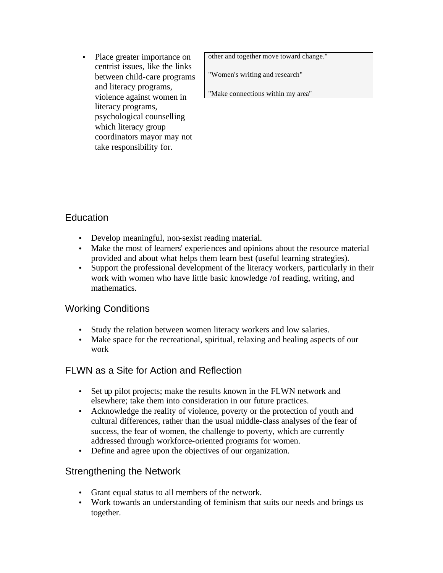• Place greater importance on centrist issues, like the links between child-care programs and literacy programs, violence against women in literacy programs, psychological counselling which literacy group coordinators mayor may not take responsibility for.

other and together move toward change."

"Women's writing and research"

"Make connections within my area"

#### **Education**

- Develop meaningful, non-sexist reading material.
- Make the most of learners' experiences and opinions about the resource material provided and about what helps them learn best (useful learning strategies).
- Support the professional development of the literacy workers, particularly in their work with women who have little basic knowledge /of reading, writing, and mathematics.

#### Working Conditions

- Study the relation between women literacy workers and low salaries.
- Make space for the recreational, spiritual, relaxing and healing aspects of our work

### FLWN as a Site for Action and Reflection

- Set up pilot projects; make the results known in the FLWN network and elsewhere; take them into consideration in our future practices.
- Acknowledge the reality of violence, poverty or the protection of youth and cultural differences, rather than the usual middle-class analyses of the fear of success, the fear of women, the challenge to poverty, which are currently addressed through workforce-oriented programs for women.
- Define and agree upon the objectives of our organization.

### Strengthening the Network

- Grant equal status to all members of the network.
- Work towards an understanding of feminism that suits our needs and brings us together.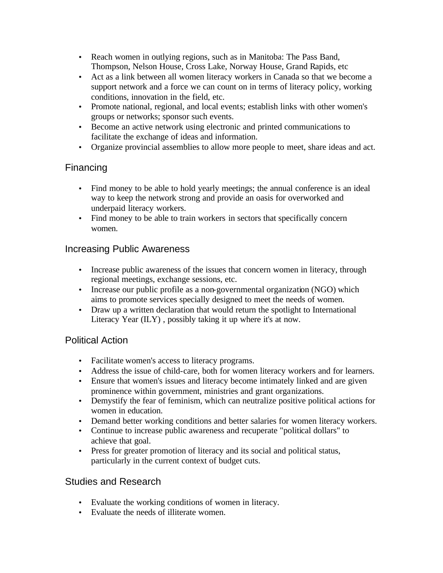- Reach women in outlying regions, such as in Manitoba: The Pass Band, Thompson, Nelson House, Cross Lake, Norway House, Grand Rapids, etc
- Act as a link between all women literacy workers in Canada so that we become a support network and a force we can count on in terms of literacy policy, working conditions, innovation in the field, etc.
- Promote national, regional, and local events; establish links with other women's groups or networks; sponsor such events.
- Become an active network using electronic and printed communications to facilitate the exchange of ideas and information.
- Organize provincial assemblies to allow more people to meet, share ideas and act.

#### Financing

- Find money to be able to hold yearly meetings; the annual conference is an ideal way to keep the network strong and provide an oasis for overworked and underpaid literacy workers.
- Find money to be able to train workers in sectors that specifically concern women.

#### Increasing Public Awareness

- Increase public awareness of the issues that concern women in literacy, through regional meetings, exchange sessions, etc.
- Increase our public profile as a non-governmental organization (NGO) which aims to promote services specially designed to meet the needs of women.
- Draw up a written declaration that would return the spotlight to International Literacy Year (ILY) , possibly taking it up where it's at now.

#### Political Action

- Facilitate women's access to literacy programs.
- Address the issue of child-care, both for women literacy workers and for learners.
- Ensure that women's issues and literacy become intimately linked and are given prominence within government, ministries and grant organizations.
- Demystify the fear of feminism, which can neutralize positive political actions for women in education.
- Demand better working conditions and better salaries for women literacy workers.
- Continue to increase public awareness and recuperate "political dollars" to achieve that goal.
- Press for greater promotion of literacy and its social and political status, particularly in the current context of budget cuts.

#### Studies and Research

- Evaluate the working conditions of women in literacy.
- Evaluate the needs of illiterate women.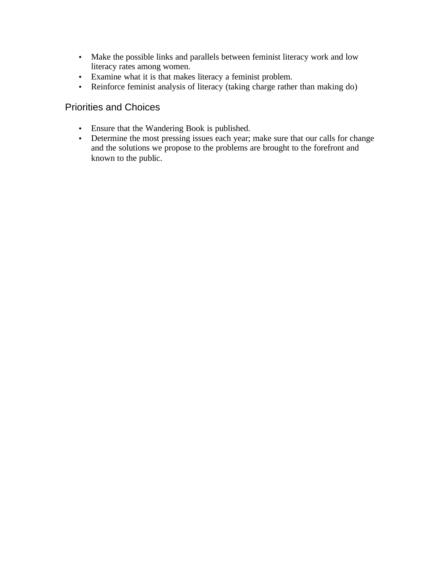- Make the possible links and parallels between feminist literacy work and low literacy rates among women.
- Examine what it is that makes literacy a feminist problem.
- Reinforce feminist analysis of literacy (taking charge rather than making do)

#### Priorities and Choices

- Ensure that the Wandering Book is published.
- Determine the most pressing issues each year; make sure that our calls for change and the solutions we propose to the problems are brought to the forefront and known to the public.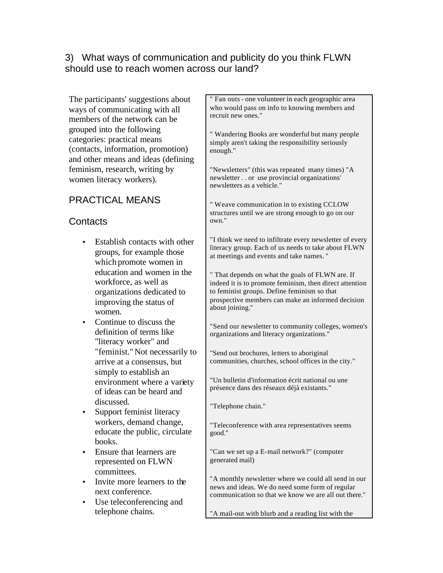#### 3) What ways of communication and publicity do you think FLWN should use to reach women across our land?

The participants' suggestions about ways of communicating with all members of the network can be grouped into the following categories: practical means (contacts, information, promotion) and other means and ideas (defining feminism, research, writing by women literacy workers).

### PRACTICAL MEANS

#### **Contacts**

- Establish contacts with other groups, for example those which promote women in education and women in the workforce, as well as organizations dedicated to improving the status of women.
- Continue to discuss the definition of terms like "literacy worker" and "feminist."Not necessarily to arrive at a consensus, but simply to establish an environment where a variety of ideas can be heard and discussed.
- Support feminist literacy workers, demand change, educate the public, circulate books.
- Ensure that learners are represented on FLWN committees.
- Invite more learners to the next conference.
- Use teleconferencing and telephone chains.

" Fan outs - one volunteer in each geographic area who would pass on info to knowing members and recruit new ones."

" Wandering Books are wonderful but many people simply aren't taking the responsibility seriously enough."

"Newsletters" (this was repeated many times) "A newsletter . . or use provincial organizations' newsletters as a vehicle."

" Weave communication in to existing CCLOW structures until we are strong enough to go on our own."

"I think we need to infiltrate every newsletter of every literacy group. Each of us needs to take about FLWN at meetings and events and take names. "

" That depends on what the goals of FLWN are. If indeed it is to promote feminism, then direct attention to feminist groups. Define feminism so that prospective members can make an informed decision about joining."

"Send our newsletter to community colleges, women's organizations and literacy organizations."

"Send out brochures, letters to aboriginal communities, churches, school offices in the city."

"Un bulletin d'information écrit national ou une présence dans des réseaux déjà existants."

"Telephone chain."

"Teleconference with area representatives seems good."

"Can we set up a E-mail network?" (computer generated mail)

"A monthly newsletter where we could all send in our news and ideas. We do need some form of regular communication so that we know we are all out there."

"A mail-out with blurb and a reading list with the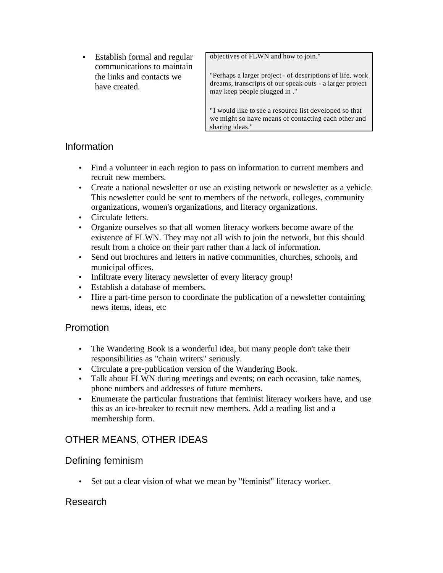• Establish formal and regular communications to maintain the links and contacts we have created.

objectives of FLWN and how to join."

"Perhaps a larger project - of descriptions of life, work dreams, transcripts of our speak-outs - a larger project may keep people plugged in ."

"I would like to see a resource list developed so that we might so have means of contacting each other and sharing ideas."

#### Information

- Find a volunteer in each region to pass on information to current members and recruit new members.
- Create a national newsletter or use an existing network or newsletter as a vehicle. This newsletter could be sent to members of the network, colleges, community organizations, women's organizations, and literacy organizations.
- Circulate letters.
- Organize ourselves so that all women literacy workers become aware of the existence of FLWN. They may not all wish to join the network, but this should result from a choice on their part rather than a lack of information.
- Send out brochures and letters in native communities, churches, schools, and municipal offices.
- Infiltrate every literacy newsletter of every literacy group!
- Establish a database of members.
- Hire a part-time person to coordinate the publication of a newsletter containing news items, ideas, etc

#### Promotion

- The Wandering Book is a wonderful idea, but many people don't take their responsibilities as "chain writers" seriously.
- Circulate a pre-publication version of the Wandering Book.
- Talk about FLWN during meetings and events; on each occasion, take names, phone numbers and addresses of future members.
- Enumerate the particular frustrations that feminist literacy workers have, and use this as an ice-breaker to recruit new members. Add a reading list and a membership form.

#### OTHER MEANS, OTHER IDEAS

#### Defining feminism

• Set out a clear vision of what we mean by "feminist" literacy worker.

#### Research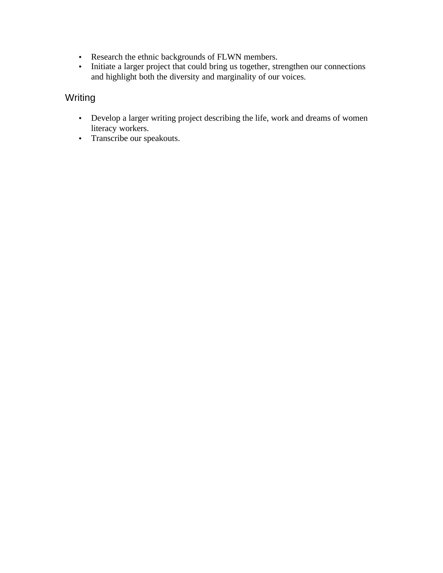- Research the ethnic backgrounds of FLWN members.
- Initiate a larger project that could bring us together, strengthen our connections and highlight both the diversity and marginality of our voices.

### Writing

- Develop a larger writing project describing the life, work and dreams of women literacy workers.
- Transcribe our speakouts.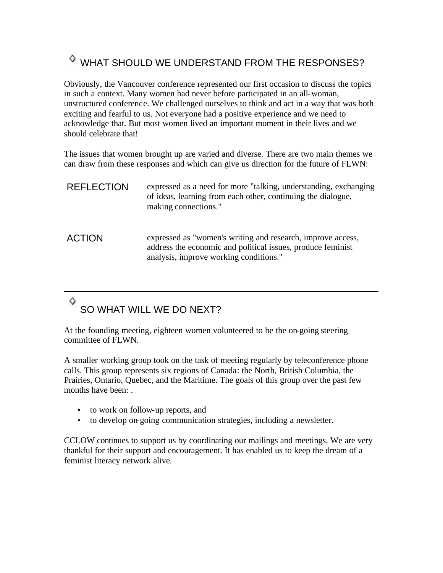# <span id="page-18-0"></span>WHAT SHOULD WE UNDERSTAND FROM THE RESPONSES?

Obviously, the Vancouver conference represented our first occasion to discuss the topics in such a context. Many women had never before participated in an all-woman, unstructured conference. We challenged ourselves to think and act in a way that was both exciting and fearful to us. Not everyone had a positive experience and we need to acknowledge that. But most women lived an important moment in their lives and we should celebrate that!

<span id="page-18-1"></span>The issues that women brought up are varied and diverse. There are two main themes we can draw from these responses and which can give us direction for the future of FLWN:

| <b>REFLECTION</b> | expressed as a need for more "talking, understanding, exchanging<br>of ideas, learning from each other, continuing the dialogue,<br>making connections."             |
|-------------------|----------------------------------------------------------------------------------------------------------------------------------------------------------------------|
| <b>ACTION</b>     | expressed as "women's writing and research, improve access,<br>address the economic and political issues, produce feminist<br>analysis, improve working conditions." |

#### ♦ SO WHAT WILL WE DO NEXT?

At the founding meeting, eighteen women volunteered to be the on-going steering committee of FLWN.

A smaller working group took on the task of meeting regularly by teleconference phone calls. This group represents six regions of Canada: the North, British Columbia, the Prairies, Ontario, Quebec, and the Maritime. The goals of this group over the past few months have been: .

- to work on follow-up reports, and
- to develop on-going communication strategies, including a newsletter.

CCLOW continues to support us by coordinating our mailings and meetings. We are very thankful for their support and encouragement. It has enabled us to keep the dream of a feminist literacy network alive.